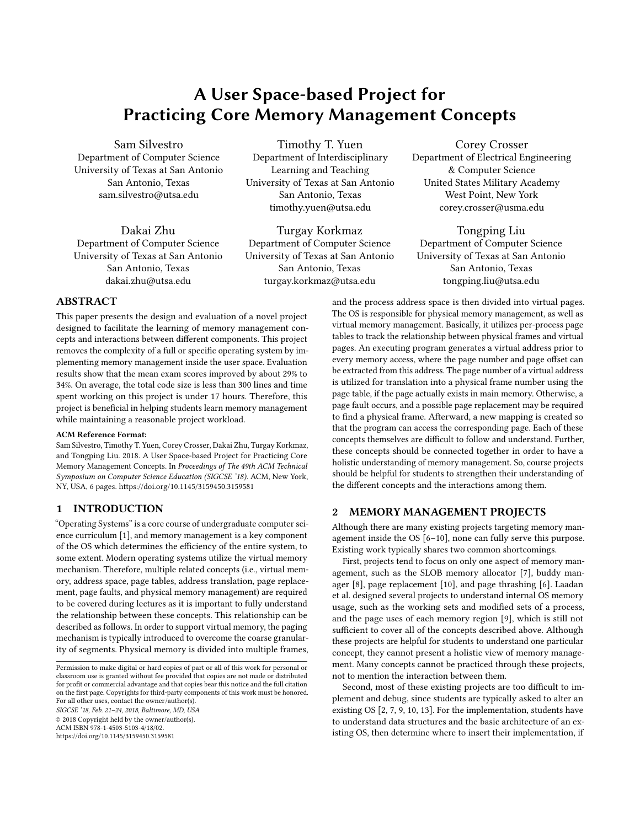# A User Space-based Project for Practicing Core Memory Management Concepts

Sam Silvestro Department of Computer Science University of Texas at San Antonio San Antonio, Texas sam.silvestro@utsa.edu

Dakai Zhu Department of Computer Science University of Texas at San Antonio San Antonio, Texas dakai.zhu@utsa.edu

Timothy T. Yuen Department of Interdisciplinary Learning and Teaching University of Texas at San Antonio San Antonio, Texas timothy.yuen@utsa.edu

Turgay Korkmaz Department of Computer Science University of Texas at San Antonio San Antonio, Texas turgay.korkmaz@utsa.edu

Corey Crosser Department of Electrical Engineering & Computer Science United States Military Academy West Point, New York corey.crosser@usma.edu

Tongping Liu Department of Computer Science University of Texas at San Antonio San Antonio, Texas tongping.liu@utsa.edu

# ABSTRACT

This paper presents the design and evaluation of a novel project designed to facilitate the learning of memory management concepts and interactions between different components. This project removes the complexity of a full or specific operating system by implementing memory management inside the user space. Evaluation results show that the mean exam scores improved by about 29% to 34%. On average, the total code size is less than 300 lines and time spent working on this project is under 17 hours. Therefore, this project is beneficial in helping students learn memory management while maintaining a reasonable project workload.

#### ACM Reference Format:

Sam Silvestro, Timothy T. Yuen, Corey Crosser, Dakai Zhu, Turgay Korkmaz, and Tongping Liu. 2018. A User Space-based Project for Practicing Core Memory Management Concepts. In Proceedings of The 49th ACM Technical Symposium on Computer Science Education (SIGCSE '18). ACM, New York, NY, USA, [6](#page-5-0) pages.<https://doi.org/10.1145/3159450.3159581>

# <span id="page-0-0"></span>1 INTRODUCTION

"Operating Systems" is a core course of undergraduate computer science curriculum [\[1\]](#page-5-1), and memory management is a key component of the OS which determines the efficiency of the entire system, to some extent. Modern operating systems utilize the virtual memory mechanism. Therefore, multiple related concepts (i.e., virtual memory, address space, page tables, address translation, page replacement, page faults, and physical memory management) are required to be covered during lectures as it is important to fully understand the relationship between these concepts. This relationship can be described as follows. In order to support virtual memory, the paging mechanism is typically introduced to overcome the coarse granularity of segments. Physical memory is divided into multiple frames,

Permission to make digital or hard copies of part or all of this work for personal or classroom use is granted without fee provided that copies are not made or distributed for profit or commercial advantage and that copies bear this notice and the full citation on the first page. Copyrights for third-party components of this work must be honored. For all other uses, contact the owner/author(s). SIGCSE '18, Feb. 21–24, 2018, Baltimore, MD, USA

© 2018 Copyright held by the owner/author(s).

ACM ISBN 978-1-4503-5103-4/18/02.

<https://doi.org/10.1145/3159450.3159581>

and the process address space is then divided into virtual pages. The OS is responsible for physical memory management, as well as virtual memory management. Basically, it utilizes per-process page tables to track the relationship between physical frames and virtual pages. An executing program generates a virtual address prior to every memory access, where the page number and page offset can be extracted from this address. The page number of a virtual address is utilized for translation into a physical frame number using the page table, if the page actually exists in main memory. Otherwise, a page fault occurs, and a possible page replacement may be required to find a physical frame. Afterward, a new mapping is created so that the program can access the corresponding page. Each of these concepts themselves are difficult to follow and understand. Further, these concepts should be connected together in order to have a holistic understanding of memory management. So, course projects should be helpful for students to strengthen their understanding of the different concepts and the interactions among them.

## 2 MEMORY MANAGEMENT PROJECTS

Although there are many existing projects targeting memory management inside the OS [\[6–](#page-5-2)[10\]](#page-5-3), none can fully serve this purpose. Existing work typically shares two common shortcomings.

First, projects tend to focus on only one aspect of memory management, such as the SLOB memory allocator [\[7\]](#page-5-4), buddy manager [\[8\]](#page-5-5), page replacement [\[10\]](#page-5-3), and page thrashing [\[6\]](#page-5-2). Laadan et al. designed several projects to understand internal OS memory usage, such as the working sets and modified sets of a process, and the page uses of each memory region [\[9\]](#page-5-6), which is still not sufficient to cover all of the concepts described above. Although these projects are helpful for students to understand one particular concept, they cannot present a holistic view of memory management. Many concepts cannot be practiced through these projects, not to mention the interaction between them.

Second, most of these existing projects are too difficult to implement and debug, since students are typically asked to alter an existing OS [\[2,](#page-5-7) [7,](#page-5-4) [9,](#page-5-6) [10,](#page-5-3) [13\]](#page-5-8). For the implementation, students have to understand data structures and the basic architecture of an existing OS, then determine where to insert their implementation, if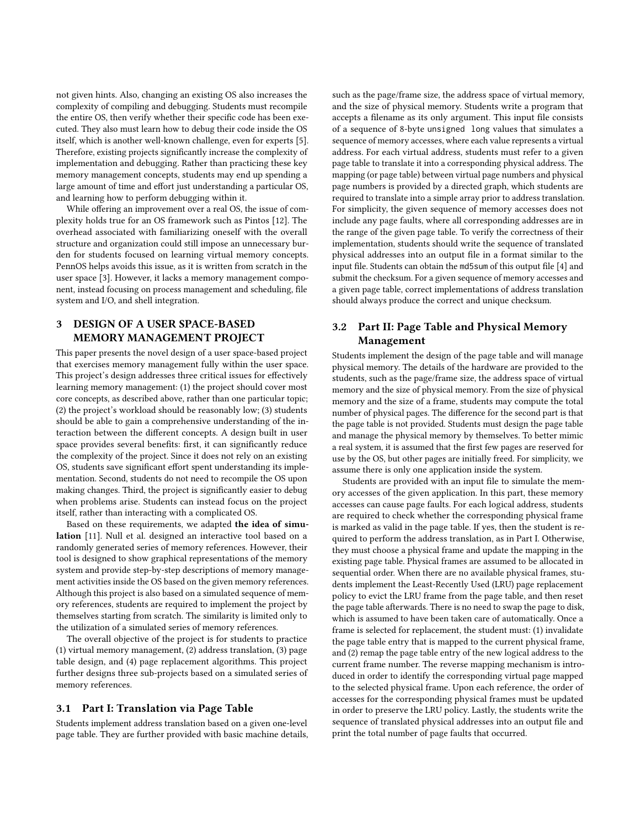not given hints. Also, changing an existing OS also increases the complexity of compiling and debugging. Students must recompile the entire OS, then verify whether their specific code has been executed. They also must learn how to debug their code inside the OS itself, which is another well-known challenge, even for experts [\[5\]](#page-5-9). Therefore, existing projects significantly increase the complexity of implementation and debugging. Rather than practicing these key memory management concepts, students may end up spending a large amount of time and effort just understanding a particular OS, and learning how to perform debugging within it.

While offering an improvement over a real OS, the issue of complexity holds true for an OS framework such as Pintos [\[12\]](#page-5-10). The overhead associated with familiarizing oneself with the overall structure and organization could still impose an unnecessary burden for students focused on learning virtual memory concepts. PennOS helps avoids this issue, as it is written from scratch in the user space [\[3\]](#page-5-11). However, it lacks a memory management component, instead focusing on process management and scheduling, file system and I/O, and shell integration.

# 3 DESIGN OF A USER SPACE-BASED MEMORY MANAGEMENT PROJECT

This paper presents the novel design of a user space-based project that exercises memory management fully within the user space. This project's design addresses three critical issues for effectively learning memory management: (1) the project should cover most core concepts, as described above, rather than one particular topic; (2) the project's workload should be reasonably low; (3) students should be able to gain a comprehensive understanding of the interaction between the different concepts. A design built in user space provides several benefits: first, it can significantly reduce the complexity of the project. Since it does not rely on an existing OS, students save significant effort spent understanding its implementation. Second, students do not need to recompile the OS upon making changes. Third, the project is significantly easier to debug when problems arise. Students can instead focus on the project itself, rather than interacting with a complicated OS.

Based on these requirements, we adapted the idea of simulation [\[11\]](#page-5-12). Null et al. designed an interactive tool based on a randomly generated series of memory references. However, their tool is designed to show graphical representations of the memory system and provide step-by-step descriptions of memory management activities inside the OS based on the given memory references. Although this project is also based on a simulated sequence of memory references, students are required to implement the project by themselves starting from scratch. The similarity is limited only to the utilization of a simulated series of memory references.

The overall objective of the project is for students to practice (1) virtual memory management, (2) address translation, (3) page table design, and (4) page replacement algorithms. This project further designs three sub-projects based on a simulated series of memory references.

#### 3.1 Part I: Translation via Page Table

Students implement address translation based on a given one-level page table. They are further provided with basic machine details, such as the page/frame size, the address space of virtual memory, and the size of physical memory. Students write a program that accepts a filename as its only argument. This input file consists of a sequence of 8-byte unsigned long values that simulates a sequence of memory accesses, where each value represents a virtual address. For each virtual address, students must refer to a given page table to translate it into a corresponding physical address. The mapping (or page table) between virtual page numbers and physical page numbers is provided by a directed graph, which students are required to translate into a simple array prior to address translation. For simplicity, the given sequence of memory accesses does not include any page faults, where all corresponding addresses are in the range of the given page table. To verify the correctness of their implementation, students should write the sequence of translated physical addresses into an output file in a format similar to the input file. Students can obtain the md5sum of this output file [\[4\]](#page-5-13) and submit the checksum. For a given sequence of memory accesses and a given page table, correct implementations of address translation should always produce the correct and unique checksum.

# 3.2 Part II: Page Table and Physical Memory Management

Students implement the design of the page table and will manage physical memory. The details of the hardware are provided to the students, such as the page/frame size, the address space of virtual memory and the size of physical memory. From the size of physical memory and the size of a frame, students may compute the total number of physical pages. The difference for the second part is that the page table is not provided. Students must design the page table and manage the physical memory by themselves. To better mimic a real system, it is assumed that the first few pages are reserved for use by the OS, but other pages are initially freed. For simplicity, we assume there is only one application inside the system.

Students are provided with an input file to simulate the memory accesses of the given application. In this part, these memory accesses can cause page faults. For each logical address, students are required to check whether the corresponding physical frame is marked as valid in the page table. If yes, then the student is required to perform the address translation, as in Part I. Otherwise, they must choose a physical frame and update the mapping in the existing page table. Physical frames are assumed to be allocated in sequential order. When there are no available physical frames, students implement the Least-Recently Used (LRU) page replacement policy to evict the LRU frame from the page table, and then reset the page table afterwards. There is no need to swap the page to disk, which is assumed to have been taken care of automatically. Once a frame is selected for replacement, the student must: (1) invalidate the page table entry that is mapped to the current physical frame, and (2) remap the page table entry of the new logical address to the current frame number. The reverse mapping mechanism is introduced in order to identify the corresponding virtual page mapped to the selected physical frame. Upon each reference, the order of accesses for the corresponding physical frames must be updated in order to preserve the LRU policy. Lastly, the students write the sequence of translated physical addresses into an output file and print the total number of page faults that occurred.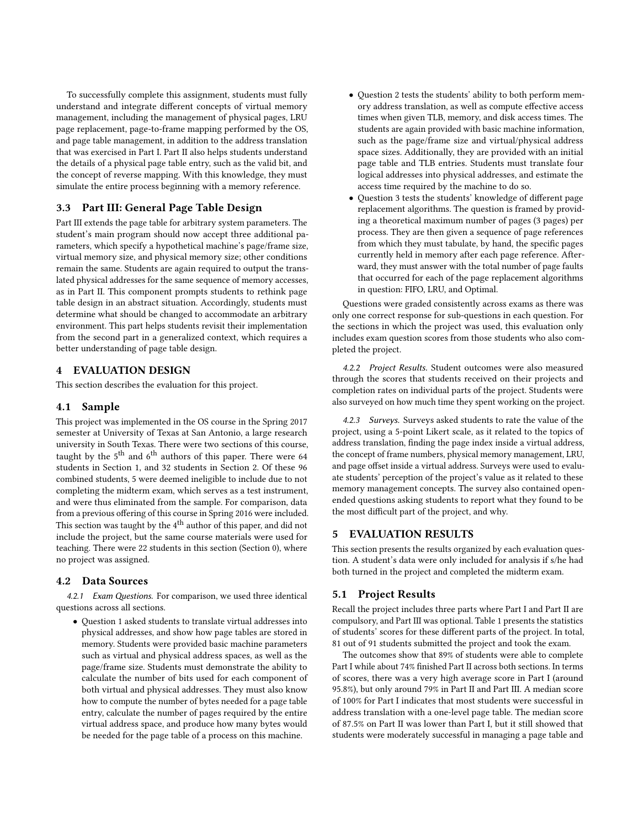To successfully complete this assignment, students must fully understand and integrate different concepts of virtual memory management, including the management of physical pages, LRU page replacement, page-to-frame mapping performed by the OS, and page table management, in addition to the address translation that was exercised in Part I. Part II also helps students understand the details of a physical page table entry, such as the valid bit, and the concept of reverse mapping. With this knowledge, they must simulate the entire process beginning with a memory reference.

# 3.3 Part III: General Page Table Design

Part III extends the page table for arbitrary system parameters. The student's main program should now accept three additional parameters, which specify a hypothetical machine's page/frame size, virtual memory size, and physical memory size; other conditions remain the same. Students are again required to output the translated physical addresses for the same sequence of memory accesses, as in Part II. This component prompts students to rethink page table design in an abstract situation. Accordingly, students must determine what should be changed to accommodate an arbitrary environment. This part helps students revisit their implementation from the second part in a generalized context, which requires a better understanding of page table design.

# 4 EVALUATION DESIGN

This section describes the evaluation for this project.

#### 4.1 Sample

This project was implemented in the OS course in the Spring 2017 semester at University of Texas at San Antonio, a large research university in South Texas. There were two sections of this course, taught by the  $5<sup>th</sup>$  and  $6<sup>th</sup>$  authors of this paper. There were 64 students in Section 1, and 32 students in Section 2. Of these 96 combined students, 5 were deemed ineligible to include due to not completing the midterm exam, which serves as a test instrument, and were thus eliminated from the sample. For comparison, data from a previous offering of this course in Spring 2016 were included. This section was taught by the 4<sup>th</sup> author of this paper, and did not include the project, but the same course materials were used for teaching. There were 22 students in this section (Section 0), where no project was assigned.

#### 4.2 Data Sources

4.2.1 Exam Questions. For comparison, we used three identical questions across all sections.

• Question 1 asked students to translate virtual addresses into physical addresses, and show how page tables are stored in memory. Students were provided basic machine parameters such as virtual and physical address spaces, as well as the page/frame size. Students must demonstrate the ability to calculate the number of bits used for each component of both virtual and physical addresses. They must also know how to compute the number of bytes needed for a page table entry, calculate the number of pages required by the entire virtual address space, and produce how many bytes would be needed for the page table of a process on this machine.

- Question 2 tests the students' ability to both perform memory address translation, as well as compute effective access times when given TLB, memory, and disk access times. The students are again provided with basic machine information, such as the page/frame size and virtual/physical address space sizes. Additionally, they are provided with an initial page table and TLB entries. Students must translate four logical addresses into physical addresses, and estimate the access time required by the machine to do so.
- Question 3 tests the students' knowledge of different page replacement algorithms. The question is framed by providing a theoretical maximum number of pages (3 pages) per process. They are then given a sequence of page references from which they must tabulate, by hand, the specific pages currently held in memory after each page reference. Afterward, they must answer with the total number of page faults that occurred for each of the page replacement algorithms in question: FIFO, LRU, and Optimal.

Questions were graded consistently across exams as there was only one correct response for sub-questions in each question. For the sections in which the project was used, this evaluation only includes exam question scores from those students who also completed the project.

4.2.2 Project Results. Student outcomes were also measured through the scores that students received on their projects and completion rates on individual parts of the project. Students were also surveyed on how much time they spent working on the project.

4.2.3 Surveys. Surveys asked students to rate the value of the project, using a 5-point Likert scale, as it related to the topics of address translation, finding the page index inside a virtual address, the concept of frame numbers, physical memory management, LRU, and page offset inside a virtual address. Surveys were used to evaluate students' perception of the project's value as it related to these memory management concepts. The survey also contained openended questions asking students to report what they found to be the most difficult part of the project, and why.

## 5 EVALUATION RESULTS

This section presents the results organized by each evaluation question. A student's data were only included for analysis if s/he had both turned in the project and completed the midterm exam.

## 5.1 Project Results

Recall the project includes three parts where Part I and Part II are compulsory, and Part III was optional. Table [1](#page-3-0) presents the statistics of students' scores for these different parts of the project. In total, 81 out of 91 students submitted the project and took the exam.

The outcomes show that 89% of students were able to complete Part I while about 74% finished Part II across both sections. In terms of scores, there was a very high average score in Part I (around 95.8%), but only around 79% in Part II and Part III. A median score of 100% for Part I indicates that most students were successful in address translation with a one-level page table. The median score of 87.5% on Part II was lower than Part I, but it still showed that students were moderately successful in managing a page table and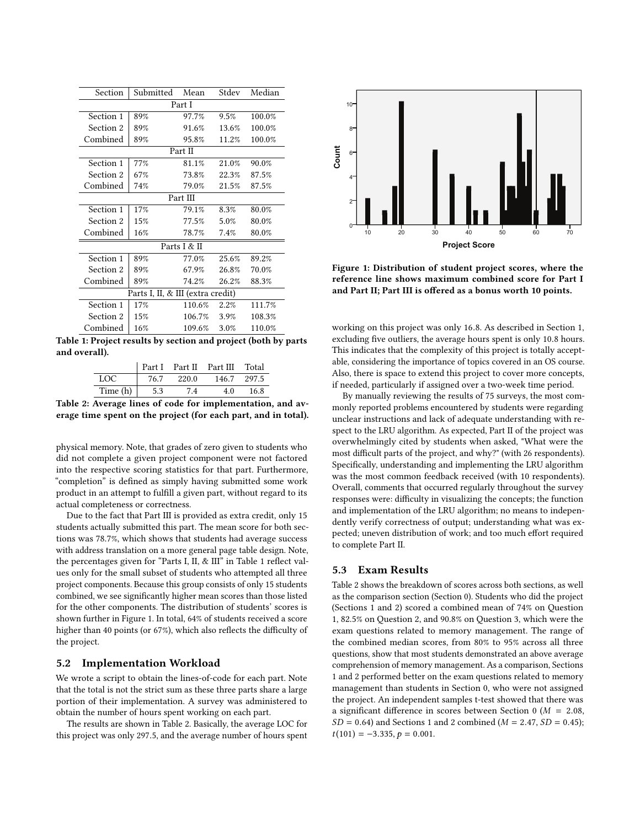<span id="page-3-0"></span>

| Section                           | Submitted | Mean   | Stdev | Median |  |  |  |
|-----------------------------------|-----------|--------|-------|--------|--|--|--|
| Part I                            |           |        |       |        |  |  |  |
| Section 1                         | 89%       | 97.7%  | 9.5%  | 100.0% |  |  |  |
| Section 2                         | 89%       | 91.6%  | 13.6% | 100.0% |  |  |  |
| Combined                          | 89%       | 95.8%  | 11.2% | 100.0% |  |  |  |
| Part II                           |           |        |       |        |  |  |  |
| Section 1                         | 77%       | 81.1%  | 21.0% | 90.0%  |  |  |  |
| Section 2                         | 67%       | 73.8%  | 22.3% | 87.5%  |  |  |  |
| Combined                          | 74%       | 79.0%  | 21.5% | 87.5%  |  |  |  |
| Part III                          |           |        |       |        |  |  |  |
| Section 1                         | 17%       | 79.1%  | 8.3%  | 80.0%  |  |  |  |
| Section 2                         | 15%       | 77.5%  | 5.0%  | 80.0%  |  |  |  |
| Combined                          | 16%       | 78.7%  | 7.4%  | 80.0%  |  |  |  |
| Parts I & II                      |           |        |       |        |  |  |  |
| Section 1                         | 89%       | 77.0%  | 25.6% | 89.2%  |  |  |  |
| Section 2                         | 89%       | 67.9%  | 26.8% | 70.0%  |  |  |  |
| Combined                          | 89%       | 74.2%  | 26.2% | 88.3%  |  |  |  |
| Parts I, II, & III (extra credit) |           |        |       |        |  |  |  |
| Section 1                         | 17%       | 110.6% | 2.2%  | 111.7% |  |  |  |
| Section 2                         | 15%       | 106.7% | 3.9%  | 108.3% |  |  |  |
| Combined                          | 16%       | 109.6% | 3.0%  | 110.0% |  |  |  |

<span id="page-3-2"></span>Table 1: Project results by section and project (both by parts and overall).

|          |      |       | Part I Part II Part III Total |       |
|----------|------|-------|-------------------------------|-------|
| LOC.     | 76.7 | 220.0 | 146.7                         | 297.5 |
| Time (h) | 5.3  | 7.4   | 4.0                           | 16.8  |

Table 2: Average lines of code for implementation, and average time spent on the project (for each part, and in total).

physical memory. Note, that grades of zero given to students who did not complete a given project component were not factored into the respective scoring statistics for that part. Furthermore, "completion" is defined as simply having submitted some work product in an attempt to fulfill a given part, without regard to its actual completeness or correctness.

Due to the fact that Part III is provided as extra credit, only 15 students actually submitted this part. The mean score for both sections was 78.7%, which shows that students had average success with address translation on a more general page table design. Note, the percentages given for "Parts I, II,  $&$  III" in Table [1](#page-3-0) reflect values only for the small subset of students who attempted all three project components. Because this group consists of only 15 students combined, we see significantly higher mean scores than those listed for the other components. The distribution of students' scores is shown further in Figure [1.](#page-3-1) In total, 64% of students received a score higher than 40 points (or 67%), which also reflects the difficulty of the project.

#### 5.2 Implementation Workload

We wrote a script to obtain the lines-of-code for each part. Note that the total is not the strict sum as these three parts share a large portion of their implementation. A survey was administered to obtain the number of hours spent working on each part.

The results are shown in Table [2.](#page-3-2) Basically, the average LOC for this project was only <sup>297</sup>.5, and the average number of hours spent

<span id="page-3-1"></span>

Figure 1: Distribution of student project scores, where the reference line shows maximum combined score for Part I and Part II; Part III is offered as a bonus worth 10 points.

working on this project was only <sup>16</sup>.8. As described in Section [1,](#page-0-0) excluding five outliers, the average hours spent is only 10.8 hours. This indicates that the complexity of this project is totally acceptable, considering the importance of topics covered in an OS course. Also, there is space to extend this project to cover more concepts, if needed, particularly if assigned over a two-week time period.

By manually reviewing the results of 75 surveys, the most commonly reported problems encountered by students were regarding unclear instructions and lack of adequate understanding with respect to the LRU algorithm. As expected, Part II of the project was overwhelmingly cited by students when asked, "What were the most difficult parts of the project, and why?" (with 26 respondents). Specifically, understanding and implementing the LRU algorithm was the most common feedback received (with 10 respondents). Overall, comments that occurred regularly throughout the survey responses were: difficulty in visualizing the concepts; the function and implementation of the LRU algorithm; no means to independently verify correctness of output; understanding what was expected; uneven distribution of work; and too much effort required to complete Part II.

## 5.3 Exam Results

Table 2 shows the breakdown of scores across both sections, as well as the comparison section (Section 0). Students who did the project (Sections 1 and 2) scored a combined mean of 74% on Question 1, 82.5% on Question 2, and 90.8% on Question 3, which were the exam questions related to memory management. The range of the combined median scores, from 80% to 95% across all three questions, show that most students demonstrated an above average comprehension of memory management. As a comparison, Sections 1 and 2 performed better on the exam questions related to memory management than students in Section 0, who were not assigned the project. An independent samples t-test showed that there was a significant difference in scores between Section 0 ( $M = 2.08$ ,  $SD = 0.64$ ) and Sections 1 and 2 combined ( $M = 2.47$ ,  $SD = 0.45$ );  $t(101) = -3.335, p = 0.001.$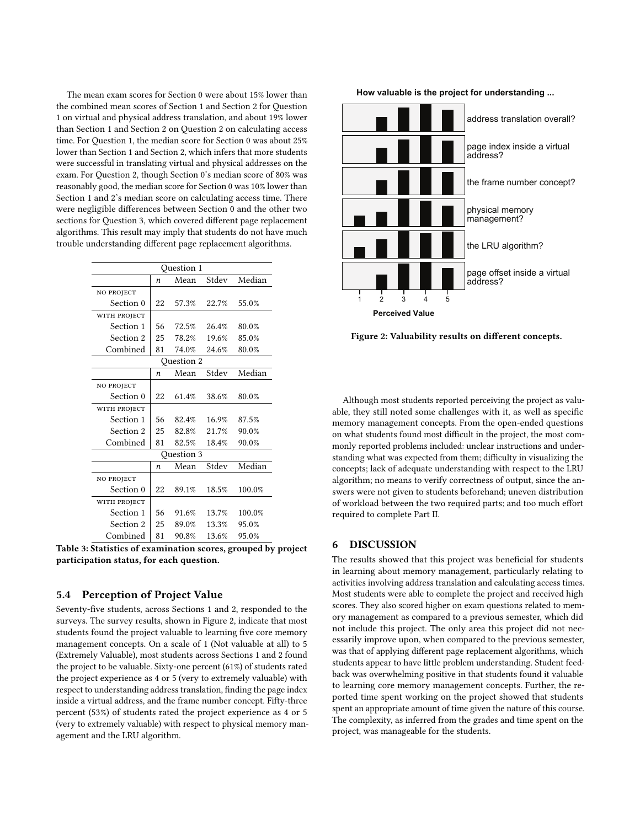The mean exam scores for Section 0 were about 15% lower than the combined mean scores of Section 1 and Section 2 for Question 1 on virtual and physical address translation, and about 19% lower than Section 1 and Section 2 on Question 2 on calculating access time. For Question 1, the median score for Section 0 was about 25% lower than Section 1 and Section 2, which infers that more students were successful in translating virtual and physical addresses on the exam. For Question 2, though Section 0's median score of 80% was reasonably good, the median score for Section 0 was 10% lower than Section 1 and 2's median score on calculating access time. There were negligible differences between Section 0 and the other two sections for Question 3, which covered different page replacement algorithms. This result may imply that students do not have much trouble understanding different page replacement algorithms.

| <b>Ouestion 1</b> |    |       |       |        |  |  |  |
|-------------------|----|-------|-------|--------|--|--|--|
|                   | n  | Mean  | Stdev | Median |  |  |  |
| NO PROJECT        |    |       |       |        |  |  |  |
| Section 0         | 22 | 57.3% | 22.7% | 55.0%  |  |  |  |
| WITH PROJECT      |    |       |       |        |  |  |  |
| Section 1         | 56 | 72.5% | 26.4% | 80.0%  |  |  |  |
| Section 2         | 25 | 78.2% | 19.6% | 85.0%  |  |  |  |
| Combined          | 81 | 74.0% | 24.6% | 80.0%  |  |  |  |
| <b>Ouestion 2</b> |    |       |       |        |  |  |  |
|                   | n  | Mean  | Stdev | Median |  |  |  |
| NO PROJECT        |    |       |       |        |  |  |  |
| Section 0         | 22 | 61.4% | 38.6% | 80.0%  |  |  |  |
| WITH PROJECT      |    |       |       |        |  |  |  |
| Section 1         | 56 | 82.4% | 16.9% | 87.5%  |  |  |  |
| Section 2         | 25 | 82.8% | 21.7% | 90.0%  |  |  |  |
| Combined          | 81 | 82.5% | 18.4% | 90.0%  |  |  |  |
| Ouestion 3        |    |       |       |        |  |  |  |
|                   | n  | Mean  | Stdev | Median |  |  |  |
| NO PROJECT        |    |       |       |        |  |  |  |
| Section 0         | 22 | 89.1% | 18.5% | 100.0% |  |  |  |
| WITH PROJECT      |    |       |       |        |  |  |  |
| Section 1         | 56 | 91.6% | 13.7% | 100.0% |  |  |  |
| Section 2         | 25 | 89.0% | 13.3% | 95.0%  |  |  |  |
| Combined          | 81 | 90.8% | 13.6% | 95.0%  |  |  |  |

Table 3: Statistics of examination scores, grouped by project participation status, for each question.

## 5.4 Perception of Project Value

Seventy-five students, across Sections 1 and 2, responded to the surveys. The survey results, shown in Figure [2,](#page-4-0) indicate that most students found the project valuable to learning five core memory management concepts. On a scale of 1 (Not valuable at all) to 5 (Extremely Valuable), most students across Sections 1 and 2 found the project to be valuable. Sixty-one percent (61%) of students rated the project experience as 4 or 5 (very to extremely valuable) with respect to understanding address translation, finding the page index inside a virtual address, and the frame number concept. Fifty-three percent (53%) of students rated the project experience as 4 or 5 (very to extremely valuable) with respect to physical memory management and the LRU algorithm.

<span id="page-4-0"></span>

Figure 2: Valuability results on different concepts.

Although most students reported perceiving the project as valuable, they still noted some challenges with it, as well as specific memory management concepts. From the open-ended questions on what students found most difficult in the project, the most commonly reported problems included: unclear instructions and understanding what was expected from them; difficulty in visualizing the concepts; lack of adequate understanding with respect to the LRU algorithm; no means to verify correctness of output, since the answers were not given to students beforehand; uneven distribution of workload between the two required parts; and too much effort required to complete Part II.

# 6 DISCUSSION

The results showed that this project was beneficial for students in learning about memory management, particularly relating to activities involving address translation and calculating access times. Most students were able to complete the project and received high scores. They also scored higher on exam questions related to memory management as compared to a previous semester, which did not include this project. The only area this project did not necessarily improve upon, when compared to the previous semester, was that of applying different page replacement algorithms, which students appear to have little problem understanding. Student feedback was overwhelming positive in that students found it valuable to learning core memory management concepts. Further, the reported time spent working on the project showed that students spent an appropriate amount of time given the nature of this course. The complexity, as inferred from the grades and time spent on the project, was manageable for the students.

**How valuable is the project for understanding ...**